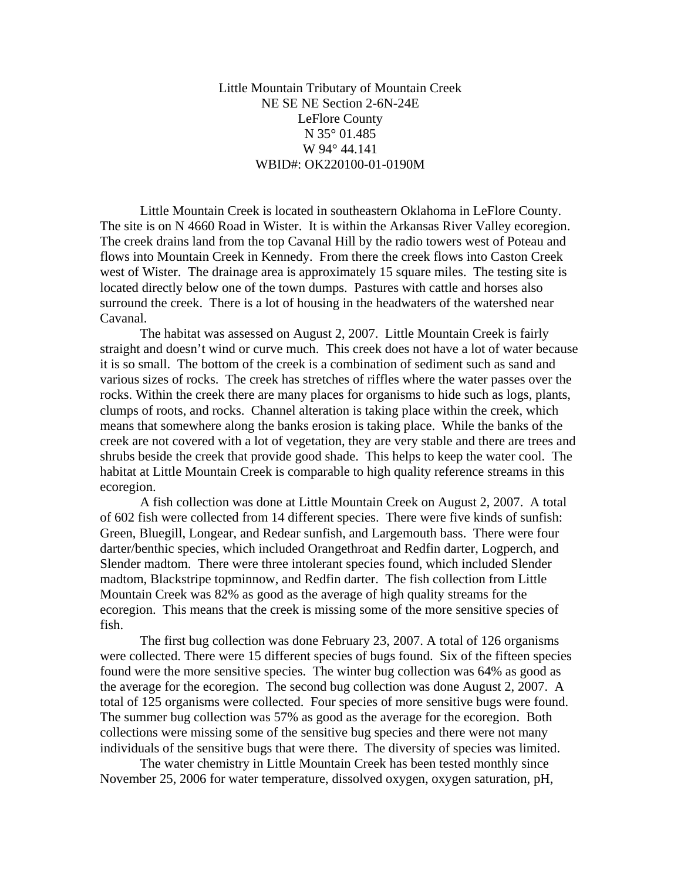Little Mountain Tributary of Mountain Creek NE SE NE Section 2-6N-24E LeFlore County N 35° 01.485 W 94° 44.141 WBID#: OK220100-01-0190M

 Little Mountain Creek is located in southeastern Oklahoma in LeFlore County. The site is on N 4660 Road in Wister. It is within the Arkansas River Valley ecoregion. The creek drains land from the top Cavanal Hill by the radio towers west of Poteau and flows into Mountain Creek in Kennedy. From there the creek flows into Caston Creek west of Wister. The drainage area is approximately 15 square miles. The testing site is located directly below one of the town dumps. Pastures with cattle and horses also surround the creek. There is a lot of housing in the headwaters of the watershed near Cavanal.

 The habitat was assessed on August 2, 2007. Little Mountain Creek is fairly straight and doesn't wind or curve much. This creek does not have a lot of water because it is so small. The bottom of the creek is a combination of sediment such as sand and various sizes of rocks. The creek has stretches of riffles where the water passes over the rocks. Within the creek there are many places for organisms to hide such as logs, plants, clumps of roots, and rocks. Channel alteration is taking place within the creek, which means that somewhere along the banks erosion is taking place. While the banks of the creek are not covered with a lot of vegetation, they are very stable and there are trees and shrubs beside the creek that provide good shade. This helps to keep the water cool. The habitat at Little Mountain Creek is comparable to high quality reference streams in this ecoregion.

 A fish collection was done at Little Mountain Creek on August 2, 2007. A total of 602 fish were collected from 14 different species. There were five kinds of sunfish: Green, Bluegill, Longear, and Redear sunfish, and Largemouth bass. There were four darter/benthic species, which included Orangethroat and Redfin darter, Logperch, and Slender madtom. There were three intolerant species found, which included Slender madtom, Blackstripe topminnow, and Redfin darter. The fish collection from Little Mountain Creek was 82% as good as the average of high quality streams for the ecoregion. This means that the creek is missing some of the more sensitive species of fish.

 The first bug collection was done February 23, 2007. A total of 126 organisms were collected. There were 15 different species of bugs found. Six of the fifteen species found were the more sensitive species. The winter bug collection was 64% as good as the average for the ecoregion. The second bug collection was done August 2, 2007. A total of 125 organisms were collected. Four species of more sensitive bugs were found. The summer bug collection was 57% as good as the average for the ecoregion. Both collections were missing some of the sensitive bug species and there were not many individuals of the sensitive bugs that were there. The diversity of species was limited.

 The water chemistry in Little Mountain Creek has been tested monthly since November 25, 2006 for water temperature, dissolved oxygen, oxygen saturation, pH,